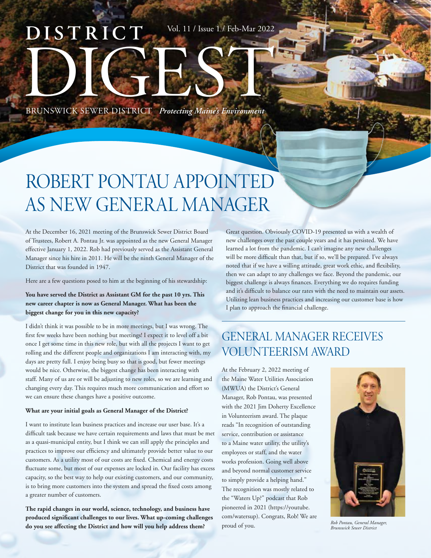# **DISTRICT** BRUNSWICK SEWER DISTRICT *Protecting Maine's Environment* Vol. 11 / Issue 1 / Feb-Mar 2022

## ROBERT PONTAU APPOINTED AS NEW GENERAL MANAGER

At the December 16, 2021 meeting of the Brunswick Sewer District Board of Trustees, Robert A. Pontau Jr. was appointed as the new General Manager effective January 1, 2022. Rob had previously served as the Assistant General Manager since his hire in 2011. He will be the ninth General Manager of the District that was founded in 1947.

Here are a few questions posed to him at the beginning of his stewardship:

**You have served the District as Assistant GM for the past 10 yrs. This new career chapter is now as General Manager. What has been the biggest change for you in this new capacity?** 

I didn't think it was possible to be in more meetings, but I was wrong. The first few weeks have been nothing but meetings! I expect it to level off a bit once I get some time in this new role, but with all the projects I want to get rolling and the different people and organizations I am interacting with, my days are pretty full. I enjoy being busy so that is good, but fewer meetings would be nice. Otherwise, the biggest change has been interacting with staff. Many of us are or will be adjusting to new roles, so we are learning and changing every day. This requires much more communication and effort so we can ensure these changes have a positive outcome.

#### **What are your initial goals as General Manager of the District?**

I want to institute lean business practices and increase our user base. It's a difficult task because we have certain requirements and laws that must be met as a quasi-municipal entity, but I think we can still apply the principles and practices to improve our efficiency and ultimately provide better value to our customers. As a utility most of our costs are fixed. Chemical and energy costs fluctuate some, but most of our expenses are locked in. Our facility has excess capacity, so the best way to help our existing customers, and our community, is to bring more customers into the system and spread the fixed costs among a greater number of customers.

**The rapid changes in our world, science, technology, and business have produced significant challenges to our lives. What up-coming challenges do you see affecting the District and how will you help address them?** 

Great question. Obviously COVID-19 presented us with a wealth of new challenges over the past couple years and it has persisted. We have learned a lot from the pandemic. I can't imagine any new challenges will be more difficult than that, but if so, we'll be prepared. I've always noted that if we have a willing attitude, great work ethic, and flexibility, then we can adapt to any challenges we face. Beyond the pandemic, our biggest challenge is always finances. Everything we do requires funding and it's difficult to balance our rates with the need to maintain our assets. Utilizing lean business practices and increasing our customer base is how I plan to approach the financial challenge.

## GENERAL MANAGER RECEIVES VOLUNTEERISM AWARD

At the February 2, 2022 meeting of the Maine Water Utilities Association (MWUA) the District's General Manager, Rob Pontau, was presented with the 2021 Jim Doherty Excellence in Volunteerism award. The plaque reads "In recognition of outstanding service, contribution or assistance to a Maine water utility, the utility's employees or staff, and the water works profession. Going well above and beyond normal customer service to simply provide a helping hand." The recognition was mostly related to the "Waters Up?" podcast that Rob pioneered in 2021 (https://youtube. com/watersup). Congrats, Rob! We are proud of you. *Rob Pontau, General Manager,* 



*Brunswick Sewer District*